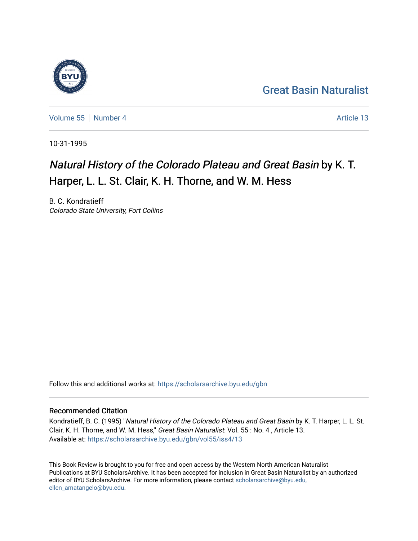### [Great Basin Naturalist](https://scholarsarchive.byu.edu/gbn)

[Volume 55](https://scholarsarchive.byu.edu/gbn/vol55) [Number 4](https://scholarsarchive.byu.edu/gbn/vol55/iss4) Article 13

10-31-1995

### Natural History of the Colorado Plateau and Great Basin by K. T. Harper, L. L. St. Clair, K. H. Thorne, and W. M. Hess

B. C. Kondratieff Colorado State University, Fort Collins

Follow this and additional works at: [https://scholarsarchive.byu.edu/gbn](https://scholarsarchive.byu.edu/gbn?utm_source=scholarsarchive.byu.edu%2Fgbn%2Fvol55%2Fiss4%2F13&utm_medium=PDF&utm_campaign=PDFCoverPages) 

#### Recommended Citation

Kondratieff, B. C. (1995) "Natural History of the Colorado Plateau and Great Basin by K. T. Harper, L. L. St. Clair, K. H. Thorne, and W. M. Hess," Great Basin Naturalist: Vol. 55: No. 4, Article 13. Available at: [https://scholarsarchive.byu.edu/gbn/vol55/iss4/13](https://scholarsarchive.byu.edu/gbn/vol55/iss4/13?utm_source=scholarsarchive.byu.edu%2Fgbn%2Fvol55%2Fiss4%2F13&utm_medium=PDF&utm_campaign=PDFCoverPages) 

This Book Review is brought to you for free and open access by the Western North American Naturalist Publications at BYU ScholarsArchive. It has been accepted for inclusion in Great Basin Naturalist by an authorized editor of BYU ScholarsArchive. For more information, please contact [scholarsarchive@byu.edu,](mailto:scholarsarchive@byu.edu,%20ellen_amatangelo@byu.edu) [ellen\\_amatangelo@byu.edu](mailto:scholarsarchive@byu.edu,%20ellen_amatangelo@byu.edu).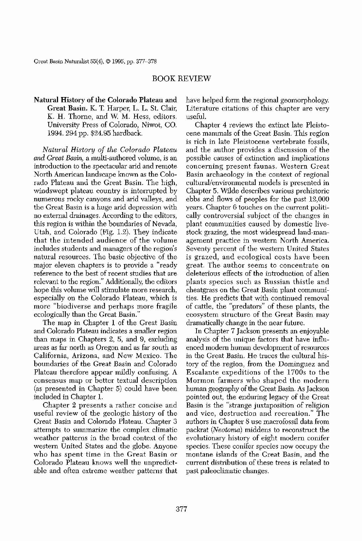Great Basin Naturalist 55(4), © 1995, pp. 377-378

Natural History of the Colorado Plateau and Great Basin. K. T. Harper, L. L, SI. Clair, K. H, Thorne, and w. M, Hess, editors, University Press of Colorado, Niwot, CO, 1994, 294 pp. \$24.95 hardback.

# BOOK REVIEW

*Natural History of the Colorado Plateau and Great Basin,* a multi-authored volume, is an introduction to the spectacular arid and remote North American landscape known as the Colorado Plateau and the Great Basin, The high, windswept plateau country is interrupted by numerous rocky canyons and arid valleys, and the Great Basin is a huge arid depression with no external drainages. According to the editors, this region is within the boundaries of Nevada, Utah, and Colorado (Fig, 1.2), They indicate that the intended audience of the volume includes students and managers of the region's natural resources, The basic objective of the major eleven chapters is to provide a "ready" reference to the best of recent studies that are relevant to the region," Additionally, the editors hope this volume will stimulate more research, especially on the Colorado Plateau, which is more "biodiverse and perhaps more fragile ecologically than the Great Basin," The map in Chapter 1 of the Great Basin and Colorado Plateau indicates a smaller region than maps in Chapters 2, 5, and 9, excluding areas as far north as Oregon and as far south as California, Arizona, and New Mexico, The boundaries of the Great Basin and Colorado Plateau therefore appear mildly confusing, A consensus map or better textual description (as presented in Chapter 5) could have been included in Chapter 1. Chapter 2 presents a rather concise and useful review of the geologic history of the Great Basin and Colorado Plateau, Chapter 3 attempts to summarize the complex climatic weather patterns in the broad context of the western United States and the globe, Anyone who has spent time in the Great Basin or Colorado Plateau knows well the unpredictable and often extreme weather patterns that have helped form the regional geomorphology, Literature citations of this chapter are very usefuL

Chapter 4 reviews the extinct late Pleistocene mammals of the Great Basin, This region is rich in late Pleistocene vertebrate fossils, and the author provides a discussion of the possible causes of extinction and implications concerning present faunas. Western Great Basin archaeology in the context of regional cultural/environmental models is presented in Chapter 5, Wilde describes various prehistoric ebbs and flows of peoples for the past 12,000 years, Chapter 6 touches on the current politically controversial subject of tbe changes in plant communities caused by domestic livestock grazing, the most widespread land-management practice in western North America. Seventy percent of the western United States is grazed, and ecological costs have been great. The author seems to concentrate on deleterious effects of the introduction of alien plants species such as Russian thistle and cheatgrass on the Great Basin plant communities. He predicts that with continued removal of cattle, the "predators" of these plants, the ecosystem structure of the Great Basin may dramatically change in the near future, In Chapter 7 Jackson presents an enjoyable analysis of the unique factors that have influenced modem human development of resources in the Great Basin, He traces the cultural history of the region, from the Dominguez and Escalante expeditions of the 1700s to the Mormon farmers who shaped the modern human geography of the Great Basin. As Jackson pointed out, the euduring legacy of the Great Basin is the "strange juxtaposition of religion and vice, destruction and recreation." The authors in Chapter 8 use macrofossil data from packrat *(Neotoma)* middens to reconstruct the evolutionary history of eight modern conifer species. These conifer species now occupy the montane islands of the Great Basin, and the current distribution of these trees is related to past paleoclimatic changes.